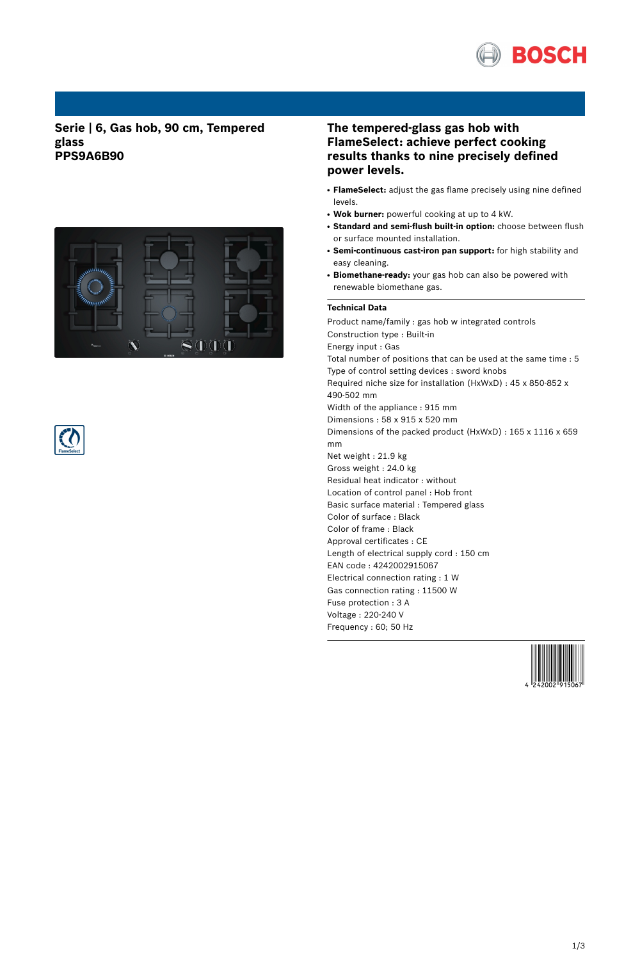

**Serie | 6, Gas hob, 90 cm, Tempered glass PPS9A6B90**





# **The tempered-glass gas hob with FlameSelect: achieve perfect cooking results thanks to nine precisely defined power levels.**

- **FlameSelect:** adjust the gas flame precisely using nine defined levels.
- Wok burner: powerful cooking at up to 4 kW.
- **Standard and semi-flush built-in option:** choose between flush or surface mounted installation.
- **Semi-continuous cast-iron pan support:** for high stability and easy cleaning.
- Biomethane-ready: your gas hob can also be powered with renewable biomethane gas.

### **Technical Data**

Product name/family : gas hob w integrated controls Construction type : Built-in Energy input : Gas Total number of positions that can be used at the same time : 5 Type of control setting devices : sword knobs Required niche size for installation (HxWxD) : 45 x 850-852 x 490-502 mm Width of the appliance : 915 mm Dimensions : 58 x 915 x 520 mm Dimensions of the packed product (HxWxD) : 165 x 1116 x 659 mm Net weight : 21.9 kg Gross weight : 24.0 kg Residual heat indicator : without Location of control panel : Hob front Basic surface material : Tempered glass Color of surface : Black Color of frame : Black Approval certificates : CE Length of electrical supply cord : 150 cm EAN code : 4242002915067 Electrical connection rating : 1 W Gas connection rating : 11500 W Fuse protection : 3 A Voltage : 220-240 V Frequency : 60; 50 Hz

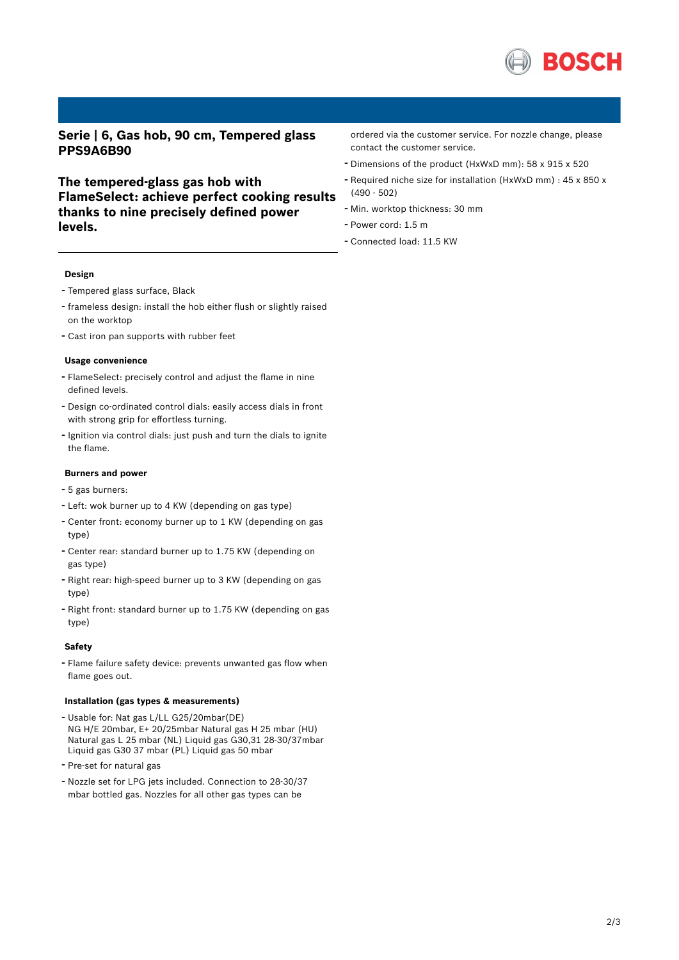

**Serie | 6, Gas hob, 90 cm, Tempered glass PPS9A6B90**

**The tempered-glass gas hob with FlameSelect: achieve perfect cooking results thanks to nine precisely defined power levels.**

ordered via the customer service. For nozzle change, please contact the customer service.

- Dimensions of the product (HxWxD mm): <sup>58</sup> <sup>x</sup> <sup>915</sup> <sup>x</sup> <sup>520</sup>
- Required niche size for installation (HxWxD mm) : <sup>45</sup> <sup>x</sup> <sup>850</sup> <sup>x</sup> (490 - 502)
- Min. worktop thickness: <sup>30</sup> mm
- Power cord: 1.5 <sup>m</sup>
- Connected load: 11.5 KW

#### **Design**

- Tempered glass surface, Black
- frameless design: install the hob either flush or slightly raised on the worktop
- Cast iron pan supports with rubber feet

#### **Usage convenience**

- FlameSelect: precisely control and adjust the flame in nine defined levels.
- Design co-ordinated control dials: easily access dials in front with strong grip for effortless turning.
- Ignition via control dials: just push and turn the dials to ignite the flame.

#### **Burners and power**

- <sup>5</sup> gas burners:
- Left: wok burner up to <sup>4</sup> KW (depending on gas type)
- Center front: economy burner up to <sup>1</sup> KW (depending on gas type)
- Center rear: standard burner up to 1.75 KW (depending on gas type)
- Right rear: high-speed burner up to <sup>3</sup> KW (depending on gas type)
- Right front: standard burner up to 1.75 KW (depending on gas type)

#### **Safety**

- Flame failure safety device: prevents unwanted gas flow when flame goes out.

### **Installation (gas types & measurements)**

- Usable for: Nat gas L/LL G25/20mbar(DE) NG H/E 20mbar, E+ 20/25mbar Natural gas H 25 mbar (HU) Natural gas L 25 mbar (NL) Liquid gas G30,31 28-30/37mbar Liquid gas G30 37 mbar (PL) Liquid gas 50 mbar
- Pre-set for natural gas
- Nozzle set for LPG jets included. Connection to 28-30/37 mbar bottled gas. Nozzles for all other gas types can be